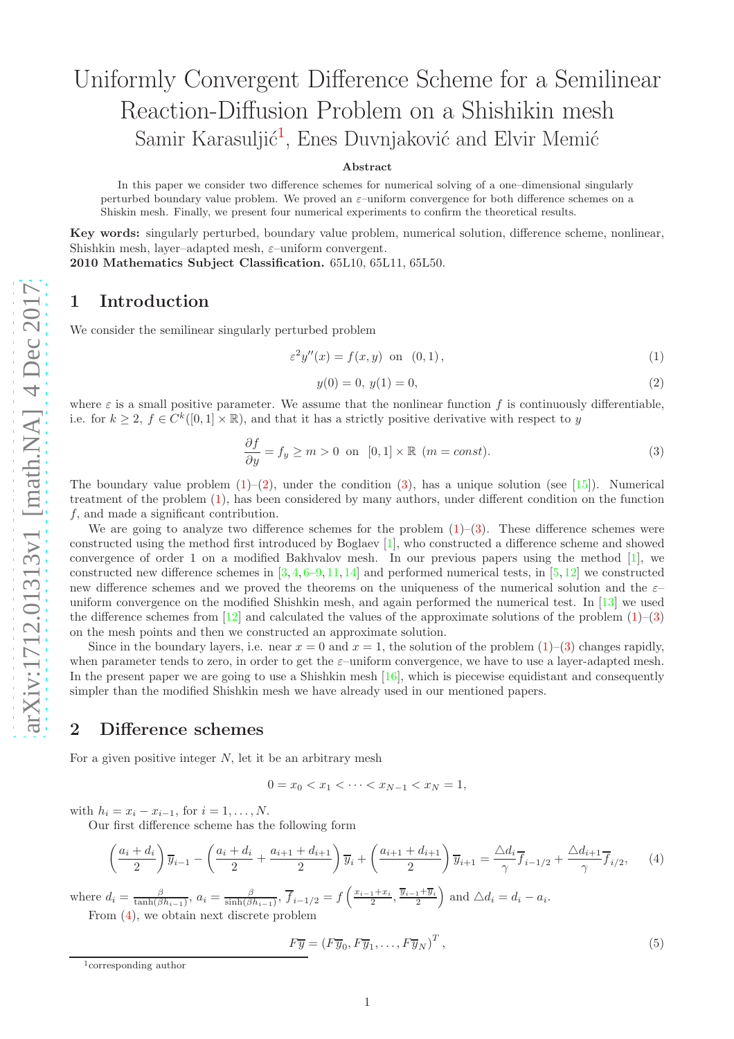# Uniformly Convergent Difference Scheme for a Semilinear Reaction-Diffusion Problem on a Shishikin mesh Samir Karasuljić<sup>[1](#page-0-0)</sup>, Enes Duvnjaković and Elvir Memić

#### Abstract

In this paper we consider two difference schemes for numerical solving of a one–dimensional singularly perturbed boundary value problem. We proved an ε–uniform convergence for both difference schemes on a Shiskin mesh. Finally, we present four numerical experiments to confirm the theoretical results.

Key words: singularly perturbed, boundary value problem, numerical solution, difference scheme, nonlinear, Shishkin mesh, layer-adapted mesh,  $\varepsilon$ -uniform convergent.

2010 Mathematics Subject Classification. 65L10, 65L11, 65L50.

#### 1 Introduction

We consider the semilinear singularly perturbed problem

<span id="page-0-1"></span>
$$
\varepsilon^2 y''(x) = f(x, y) \quad \text{on} \quad (0, 1), \tag{1}
$$

<span id="page-0-2"></span>
$$
y(0) = 0, \ y(1) = 0,\tag{2}
$$

where  $\varepsilon$  is a small positive parameter. We assume that the nonlinear function f is continuously differentiable, i.e. for  $k \geq 2$ ,  $f \in C^k([0,1] \times \mathbb{R})$ , and that it has a strictly positive derivative with respect to y

<span id="page-0-3"></span>
$$
\frac{\partial f}{\partial y} = f_y \ge m > 0 \text{ on } [0,1] \times \mathbb{R} \quad (m = const).
$$
 (3)

The boundary value problem  $(1)-(2)$  $(1)-(2)$  $(1)-(2)$  $(1)-(2)$ , under the condition  $(3)$  $(3)$ , has a unique solution (see [\[15\]](#page-12-0)). Numerical treatment of the problem ( [1\)](#page-0-1), has been considered by many authors, under different condition on the function f, and made a significant contribution.

We are going to analyze two difference schemes for the problem  $(1)-(3)$  $(1)-(3)$  $(1)-(3)$  $(1)-(3)$ . These difference schemes were constructed using the method first introduced by Boglaev [ [1\]](#page-11-0), who constructed a difference scheme and showed convergence of order 1 on a modified Bakhvalov mesh. In our previous papers using the method [ [1\]](#page-11-0), we constructed new difference schemes in  $[3, 4, 6-9, 11, 14]$  $[3, 4, 6-9, 11, 14]$  $[3, 4, 6-9, 11, 14]$  $[3, 4, 6-9, 11, 14]$  $[3, 4, 6-9, 11, 14]$  $[3, 4, 6-9, 11, 14]$  $[3, 4, 6-9, 11, 14]$  $[3, 4, 6-9, 11, 14]$  $[3, 4, 6-9, 11, 14]$  $[3, 4, 6-9, 11, 14]$  $[3, 4, 6-9, 11, 14]$  $[3, 4, 6-9, 11, 14]$  and performed numerical tests, in  $[5, 12]$  $[5, 12]$  $[5, 12]$  $[5, 12]$  we constructed new difference schemes and we proved the theorems on the uniqueness of the numerical solution and the  $\varepsilon$ uniform convergence on the modified Shishkin mesh, and again performed the numerical test. In [\[13\]](#page-12-5) we used the difference schemes from  $[12]$  and calculated the values of the approximate solutions of the problem  $(1)-(3)$  $(1)-(3)$  $(1)-(3)$  $(1)-(3)$  $(1)-(3)$ on the mesh points and then we constructed an approximate solution.

Since in the boundary layers, i.e. near  $x = 0$  and  $x = 1$ , the solution of the problem  $(1)$  $(1)$ –([3\)](#page-0-3) changes rapidly, when parameter tends to zero, in order to get the  $\varepsilon$ -uniform convergence, we have to use a layer-adapted mesh. In the present paper we are going to use a Shishkin mesh  $[16]$ , which is piecewise equidistant and consequently simpler than the modified Shishkin mesh we have already used in our mentioned papers.

## 2 Difference schemes

For a given positive integer  $N$ , let it be an arbitrary mesh

$$
0 = x_0 < x_1 < \dots < x_{N-1} < x_N = 1,
$$

with  $h_i = x_i - x_{i-1}$ , for  $i = 1, ..., N$ .

Our first difference scheme has the following form

<span id="page-0-4"></span>
$$
\left(\frac{a_i + d_i}{2}\right)\overline{y}_{i-1} - \left(\frac{a_i + d_i}{2} + \frac{a_{i+1} + d_{i+1}}{2}\right)\overline{y}_i + \left(\frac{a_{i+1} + d_{i+1}}{2}\right)\overline{y}_{i+1} = \frac{\Delta d_i}{\gamma}\overline{f}_{i-1/2} + \frac{\Delta d_{i+1}}{\gamma}\overline{f}_{i/2},\qquad(4)
$$

where  $d_i = \frac{\beta}{\tanh(\beta h_{i-1})}$ ,  $a_i = \frac{\beta}{\sinh(\beta h_{i-1})}$ ,  $\overline{f}_{i-1/2} = f\left(\frac{x_{i-1}+x_i}{2}, \frac{\overline{y}_{i-1}+\overline{y}_i}{2}\right)$  and  $\triangle d_i = d_i - a_i$ .

From ( [4\)](#page-0-4), we obtain next discrete problem

$$
F\overline{y} = (F\overline{y}_0, F\overline{y}_1, \dots, F\overline{y}_N)^T, \qquad (5)
$$

<span id="page-0-0"></span><sup>1</sup>corresponding author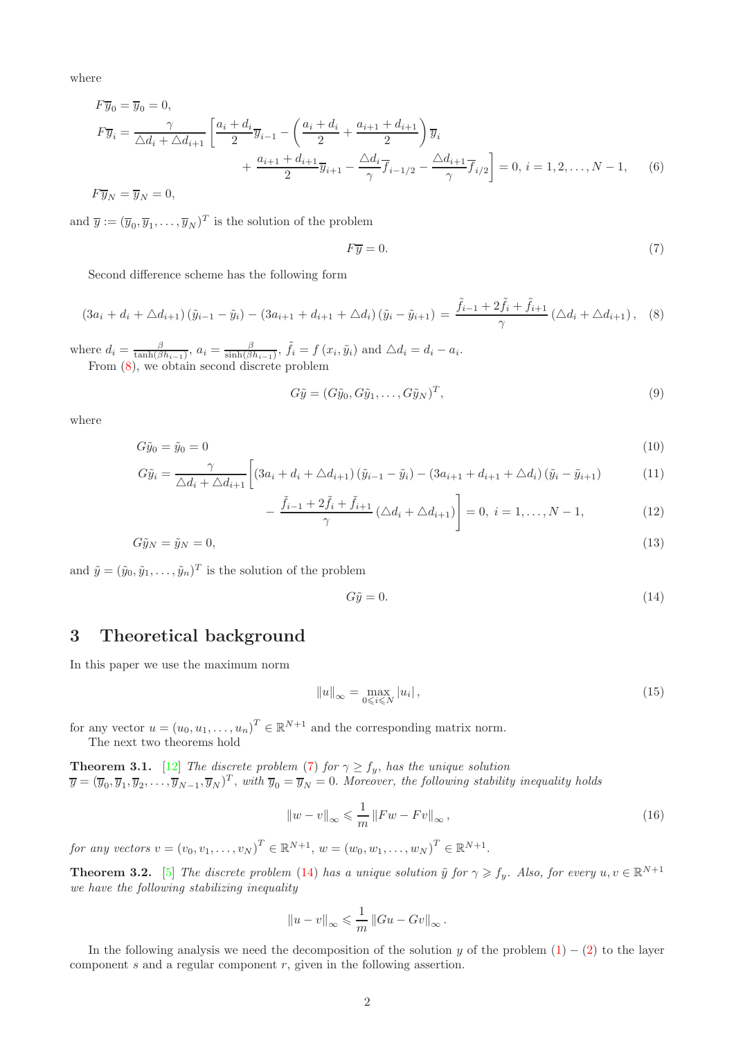where

$$
F\overline{y}_0 = \overline{y}_0 = 0,
$$
  
\n
$$
F\overline{y}_i = \frac{\gamma}{\Delta d_i + \Delta d_{i+1}} \left[ \frac{a_i + d_i}{2} \overline{y}_{i-1} - \left( \frac{a_i + d_i}{2} + \frac{a_{i+1} + d_{i+1}}{2} \right) \overline{y}_i + \frac{a_{i+1} + d_{i+1}}{2} \overline{y}_{i+1} - \frac{\Delta d_i}{\gamma} \overline{f}_{i-1/2} - \frac{\Delta d_{i+1}}{\gamma} \overline{f}_{i/2} \right] = 0, i = 1, 2, ..., N - 1,
$$
 (6)  
\n
$$
F\overline{y}_N = \overline{y}_N = 0,
$$

and  $\overline{y} := (\overline{y}_0, \overline{y}_1, \dots, \overline{y}_N)^T$  is the solution of the problem

<span id="page-1-1"></span><span id="page-1-0"></span>
$$
F\overline{y} = 0.\t\t(7)
$$

Second difference scheme has the following form

$$
(3a_i + d_i + \triangle d_{i+1}) (\tilde{y}_{i-1} - \tilde{y}_i) - (3a_{i+1} + d_{i+1} + \triangle d_i) (\tilde{y}_i - \tilde{y}_{i+1}) = \frac{\tilde{f}_{i-1} + 2\tilde{f}_i + \tilde{f}_{i+1}}{\gamma} (\triangle d_i + \triangle d_{i+1}), \quad (8)
$$

where  $d_i = \frac{\beta}{\tanh(\beta h_{i-1})}$ ,  $a_i = \frac{\beta}{\sinh(\beta h_{i-1})}$ ,  $\tilde{f}_i = f(x_i, \tilde{y}_i)$  and  $\Delta d_i = d_i - a_i$ . From [\(8\)](#page-1-0), we obtain second discrete problem

<span id="page-1-4"></span>
$$
G\tilde{y} = (G\tilde{y}_0, G\tilde{y}_1, \dots, G\tilde{y}_N)^T, \tag{9}
$$

where

$$
G\tilde{y}_0 = \tilde{y}_0 = 0\tag{10}
$$

$$
G\tilde{y}_i = \frac{\gamma}{\Delta d_i + \Delta d_{i+1}} \left[ (3a_i + d_i + \Delta d_{i+1}) \left( \tilde{y}_{i-1} - \tilde{y}_i \right) - (3a_{i+1} + d_{i+1} + \Delta d_i) \left( \tilde{y}_i - \tilde{y}_{i+1} \right) \right]
$$
(11)

$$
-\frac{\tilde{f}_{i-1} + 2\tilde{f}_i + \tilde{f}_{i+1}}{\gamma} (\triangle d_i + \triangle d_{i+1})\bigg] = 0, \ i = 1, ..., N - 1,
$$
\n(12)

$$
G\tilde{y}_N = \tilde{y}_N = 0,\tag{13}
$$

and  $\tilde{y} = (\tilde{y}_0, \tilde{y}_1, \dots, \tilde{y}_n)^T$  is the solution of the problem

<span id="page-1-3"></span><span id="page-1-2"></span>
$$
G\tilde{y} = 0.\t(14)
$$

## 3 Theoretical background

In this paper we use the maximum norm

$$
||u||_{\infty} = \max_{0 \le i \le N} |u_i|, \qquad (15)
$$

for any vector  $u = (u_0, u_1, \dots, u_n)^T \in \mathbb{R}^{N+1}$  and the corresponding matrix norm. The next two theorems hold

**Theorem 3.1.** [\[12\]](#page-12-4) The discrete problem [\(7\)](#page-1-1) for  $\gamma \ge f_y$ , has the unique solution  $\overline{y} = (\overline{y}_0, \overline{y}_1, \overline{y}_2, \dots, \overline{y}_{N-1}, \overline{y}_N)^T$ , with  $\overline{y}_0 = \overline{y}_N = 0$ . Moreover, the following stability inequality holds

$$
\|w - v\|_{\infty} \leqslant \frac{1}{m} \|Fw - Fv\|_{\infty},\tag{16}
$$

for any vectors  $v = (v_0, v_1, \dots, v_N)^T \in \mathbb{R}^{N+1}$ ,  $w = (w_0, w_1, \dots, w_N)^T \in \mathbb{R}^{N+1}$ .

**Theorem 3.2.** [\[5\]](#page-11-4) The discrete problem [\(14\)](#page-1-2) has a unique solution  $\tilde{y}$  for  $\gamma \geq f_y$ . Also, for every  $u, v \in \mathbb{R}^{N+1}$ we have the following stabilizing inequality

$$
||u - v||_{\infty} \leqslant \frac{1}{m} ||Gu - Gv||_{\infty}.
$$

In the following analysis we need the decomposition of the solution y of the problem  $(1) - (2)$  $(1) - (2)$  to the layer component  $s$  and a regular component  $r$ , given in the following assertion.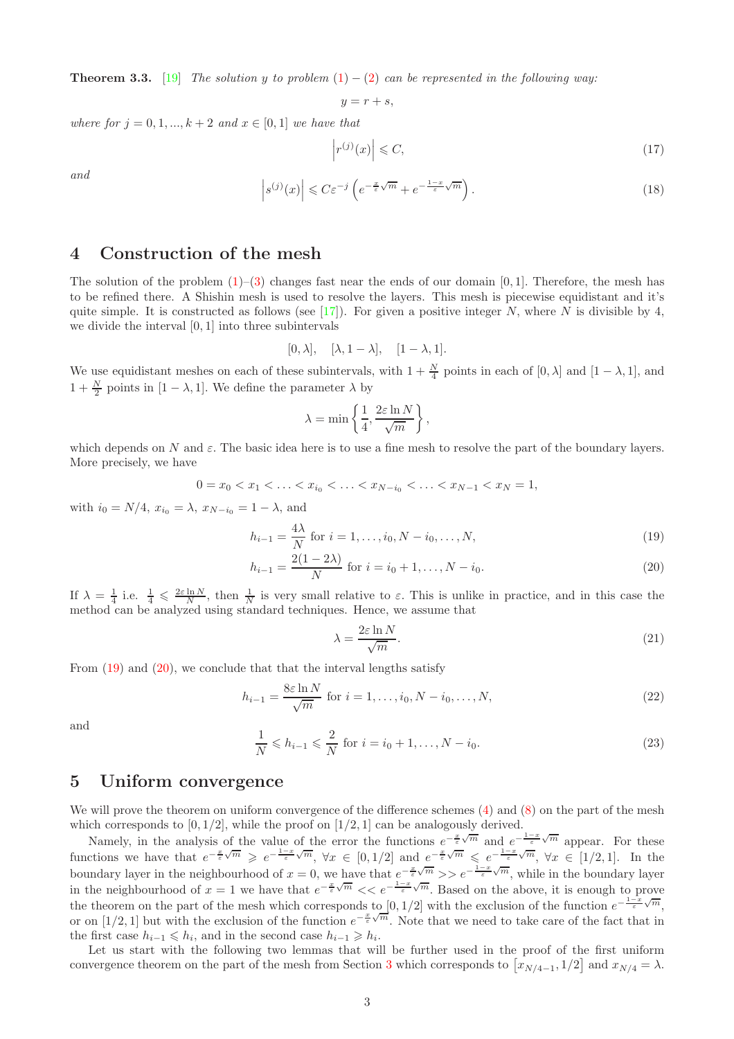**Theorem 3.3.** [\[19\]](#page-12-7) The solution y to problem  $(1) - (2)$  $(1) - (2)$  $(1) - (2)$  can be represented in the following way:

 $y = r + s$ .

where for  $j = 0, 1, ..., k + 2$  and  $x \in [0, 1]$  we have that

$$
\left| r^{(j)}(x) \right| \leqslant C,\tag{17}
$$

and

<span id="page-2-2"></span>
$$
\left| s^{(j)}(x) \right| \leqslant C \varepsilon^{-j} \left( e^{-\frac{x}{\varepsilon} \sqrt{m}} + e^{-\frac{1-x}{\varepsilon} \sqrt{m}} \right). \tag{18}
$$

## 4 Construction of the mesh

The solution of the problem  $(1)$ –[\(3\)](#page-0-3) changes fast near the ends of our domain [0, 1]. Therefore, the mesh has to be refined there. A Shishin mesh is used to resolve the layers. This mesh is piecewise equidistant and it's quite simple. It is constructed as follows (see [\[17\]](#page-12-8)). For given a positive integer N, where N is divisible by 4, we divide the interval [0, 1] into three subintervals

$$
[0,\lambda], \quad [\lambda,1-\lambda], \quad [1-\lambda,1].
$$

We use equidistant meshes on each of these subintervals, with  $1 + \frac{N}{4}$  points in each of  $[0, \lambda]$  and  $[1 - \lambda, 1]$ , and  $1 + \frac{N}{2}$  points in [1 –  $\lambda$ , 1]. We define the parameter  $\lambda$  by

$$
\lambda = \min\left\{\frac{1}{4}, \frac{2\varepsilon \ln N}{\sqrt{m}}\right\},\,
$$

which depends on N and  $\varepsilon$ . The basic idea here is to use a fine mesh to resolve the part of the boundary layers. More precisely, we have

$$
0 = x_0 < x_1 < \ldots < x_{i_0} < \ldots < x_{N-i_0} < \ldots < x_{N-1} < x_N = 1,
$$

with  $i_0 = N/4$ ,  $x_{i_0} = \lambda$ ,  $x_{N-i_0} = 1 - \lambda$ , and

$$
h_{i-1} = \frac{4\lambda}{N} \text{ for } i = 1, \dots, i_0, N - i_0, \dots, N,
$$
\n(19)

$$
h_{i-1} = \frac{2(1-2\lambda)}{N} \text{ for } i = i_0 + 1, ..., N - i_0.
$$
 (20)

If  $\lambda = \frac{1}{4}$  i.e.  $\frac{1}{4} \leq \frac{2\varepsilon \ln N}{N}$ , then  $\frac{1}{N}$  is very small relative to  $\varepsilon$ . This is unlike in practice, and in this case the method can be analyzed using standard techniques. Hence, we assume that

<span id="page-2-1"></span><span id="page-2-0"></span>
$$
\lambda = \frac{2\varepsilon \ln N}{\sqrt{m}}.\tag{21}
$$

From [\(19\)](#page-2-0) and [\(20\)](#page-2-1), we conclude that that the interval lengths satisfy

$$
h_{i-1} = \frac{8\varepsilon \ln N}{\sqrt{m}} \text{ for } i = 1, \dots, i_0, N - i_0, \dots, N,
$$
\n
$$
(22)
$$

and

$$
\frac{1}{N} \leq h_{i-1} \leq \frac{2}{N} \text{ for } i = i_0 + 1, ..., N - i_0.
$$
 (23)

#### 5 Uniform convergence

We will prove the theorem on uniform convergence of the difference schemes [\(4\)](#page-0-4) and [\(8\)](#page-1-0) on the part of the mesh which corresponds to  $[0, 1/2]$ , while the proof on  $[1/2, 1]$  can be analogously derived.

Namely, in the analysis of the value of the error the functions  $e^{-\frac{x}{\varepsilon}\sqrt{m}}$  and  $e^{-\frac{1-x}{\varepsilon}\sqrt{m}}$  appear. For these functions we have that  $e^{-\frac{x}{\varepsilon}\sqrt{m}} \geqslant e^{-\frac{1-x}{\varepsilon}\sqrt{m}}$ ,  $\forall x \in [0,1/2]$  and  $e^{-\frac{x}{\varepsilon}\sqrt{m}} \leqslant e^{-\frac{1-x}{\varepsilon}\sqrt{m}}$ ,  $\forall x \in [1/2,1]$ . In the boundary layer in the neighbourhood of  $x = 0$ , we have that  $e^{-\frac{x}{\varepsilon}\sqrt{m}} >> e^{-\frac{1-x}{\varepsilon}\sqrt{m}}$ , while in the boundary layer in the neighbourhood of  $x = 1$  we have that  $e^{-\frac{x}{\varepsilon}\sqrt{m}} \ll e^{-\frac{1-x}{\varepsilon}\sqrt{m}}$ . Based on the above, it is enough to prove the theorem on the part of the mesh which corresponds to  $[0,1/2]$  with the exclusion of the function  $e^{-\frac{1-x}{\varepsilon}\sqrt{m}}$ , or on [1/2, 1] but with the exclusion of the function  $e^{-\frac{x}{\varepsilon}\sqrt{m}}$ . Note that we need to take care of the fact that in the first case  $h_{i-1} \leq h_i$ , and in the second case  $h_{i-1} \geq h_i$ .

Let us start with the following two lemmas that will be further used in the proof of the first uniform convergence theorem on the part of the mesh from Section [3](#page-2-2) which corresponds to  $[x_{N/4-1}, 1/2]$  and  $x_{N/4} = \lambda$ .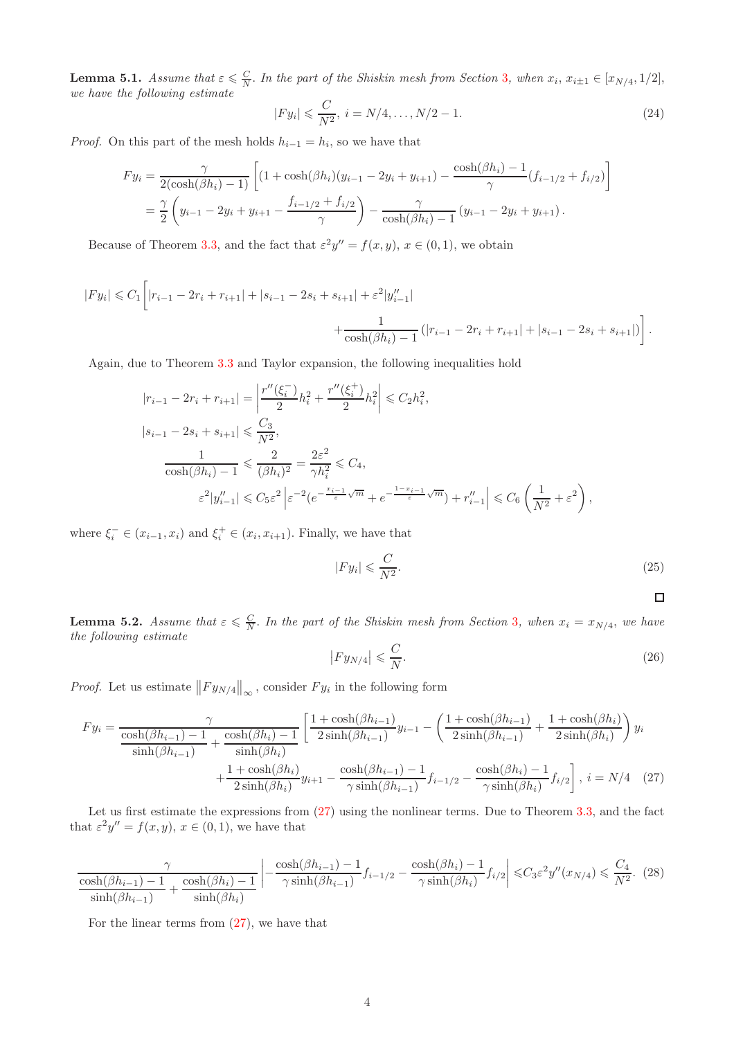<span id="page-3-2"></span>**Lemma 5.1.** Assume that  $\varepsilon \leq \frac{C}{N}$ . In the part of the Shiskin mesh from Section [3](#page-2-2), when  $x_i$ ,  $x_{i\pm 1} \in [x_{N/4}, 1/2]$ , we have the following estimate

$$
|Fy_i| \leqslant \frac{C}{N^2}, \ i = N/4, \dots, N/2 - 1. \tag{24}
$$

*Proof.* On this part of the mesh holds  $h_{i-1} = h_i$ , so we have that

$$
F y_i = \frac{\gamma}{2(\cosh(\beta h_i) - 1)} \left[ (1 + \cosh(\beta h_i)(y_{i-1} - 2y_i + y_{i+1}) - \frac{\cosh(\beta h_i) - 1}{\gamma} (f_{i-1/2} + f_{i/2}) \right]
$$
  
=  $\frac{\gamma}{2} \left( y_{i-1} - 2y_i + y_{i+1} - \frac{f_{i-1/2} + f_{i/2}}{\gamma} \right) - \frac{\gamma}{\cosh(\beta h_i) - 1} (y_{i-1} - 2y_i + y_{i+1}).$ 

Because of Theorem [3.3,](#page-2-2) and the fact that  $\varepsilon^2 y'' = f(x, y), x \in (0, 1)$ , we obtain

$$
|Fy_i| \leq C_1 \left[ |r_{i-1} - 2r_i + r_{i+1}| + |s_{i-1} - 2s_i + s_{i+1}| + \varepsilon^2 |y''_{i-1}| + \frac{1}{\cosh(\beta h_i) - 1} (|r_{i-1} - 2r_i + r_{i+1}| + |s_{i-1} - 2s_i + s_{i+1}|) \right].
$$

Again, due to Theorem [3.3](#page-2-2) and Taylor expansion, the following inequalities hold

$$
|r_{i-1} - 2r_i + r_{i+1}| = \left| \frac{r''(\xi_i^-)}{2} h_i^2 + \frac{r''(\xi_i^+)}{2} h_i^2 \right| \le C_2 h_i^2,
$$
  
\n
$$
|s_{i-1} - 2s_i + s_{i+1}| \le \frac{C_3}{N^2},
$$
  
\n
$$
\frac{1}{\cosh(\beta h_i) - 1} \le \frac{2}{(\beta h_i)^2} = \frac{2\varepsilon^2}{\gamma h_i^2} \le C_4,
$$
  
\n
$$
\varepsilon^2 |y''_{i-1}| \le C_5 \varepsilon^2 \left| \varepsilon^{-2} (e^{-\frac{x_{i-1}}{\varepsilon}\sqrt{m}} + e^{-\frac{1 - x_{i-1}}{\varepsilon}\sqrt{m}}) + r''_{i-1} \right| \le C_6 \left( \frac{1}{N^2} + \varepsilon^2 \right),
$$

where  $\xi_i^- \in (x_{i-1}, x_i)$  and  $\xi_i^+ \in (x_i, x_{i+1})$ . Finally, we have that

$$
|F y_i| \leqslant \frac{C}{N^2}.\tag{25}
$$

<span id="page-3-1"></span><span id="page-3-0"></span> $\Box$ 

<span id="page-3-3"></span>**Lemma 5.2.** Assume that  $\varepsilon \leq \frac{C}{N}$ . In the part of the Shiskin mesh from Section [3](#page-2-2), when  $x_i = x_{N/4}$ , we have the following estimate

$$
\left| F y_{N/4} \right| \leqslant \frac{C}{N}.\tag{26}
$$

*Proof.* Let us estimate  $||F y_{N/4}||_{\infty}$ , consider  $F y_i$  in the following form

$$
F y_i = \frac{\gamma}{\frac{\cosh(\beta h_{i-1}) - 1}{\sinh(\beta h_{i-1})} + \frac{\cosh(\beta h_i) - 1}{\sinh(\beta h_i)}} \left[ \frac{1 + \cosh(\beta h_{i-1})}{2\sinh(\beta h_{i-1})} y_{i-1} - \left( \frac{1 + \cosh(\beta h_{i-1})}{2\sinh(\beta h_{i-1})} + \frac{1 + \cosh(\beta h_i)}{2\sinh(\beta h_i)} \right) y_i + \frac{1 + \cosh(\beta h_i)}{2\sinh(\beta h_i)} y_{i+1} - \frac{\cosh(\beta h_{i-1}) - 1}{\gamma \sinh(\beta h_{i-1})} f_{i-1/2} - \frac{\cosh(\beta h_i) - 1}{\gamma \sinh(\beta h_i)} f_{i/2} \right], i = N/4 \quad (27)
$$

Let us first estimate the expressions from  $(27)$  using the nonlinear terms. Due to Theorem [3.3,](#page-2-2) and the fact that  $\varepsilon^2 y'' = f(x, y), x \in (0, 1)$ , we have that

$$
\frac{\gamma}{\cosh(\beta h_{i-1}) - 1} + \frac{\cosh(\beta h_i) - 1}{\sinh(\beta h_i)} \left| - \frac{\cosh(\beta h_{i-1}) - 1}{\gamma \sinh(\beta h_{i-1})} f_{i-1/2} - \frac{\cosh(\beta h_i) - 1}{\gamma \sinh(\beta h_i)} f_{i/2} \right| \leq C_3 \varepsilon^2 y''(x_{N/4}) \leq \frac{C_4}{N^2}.
$$
 (28)

For the linear terms from [\(27\)](#page-3-0), we have that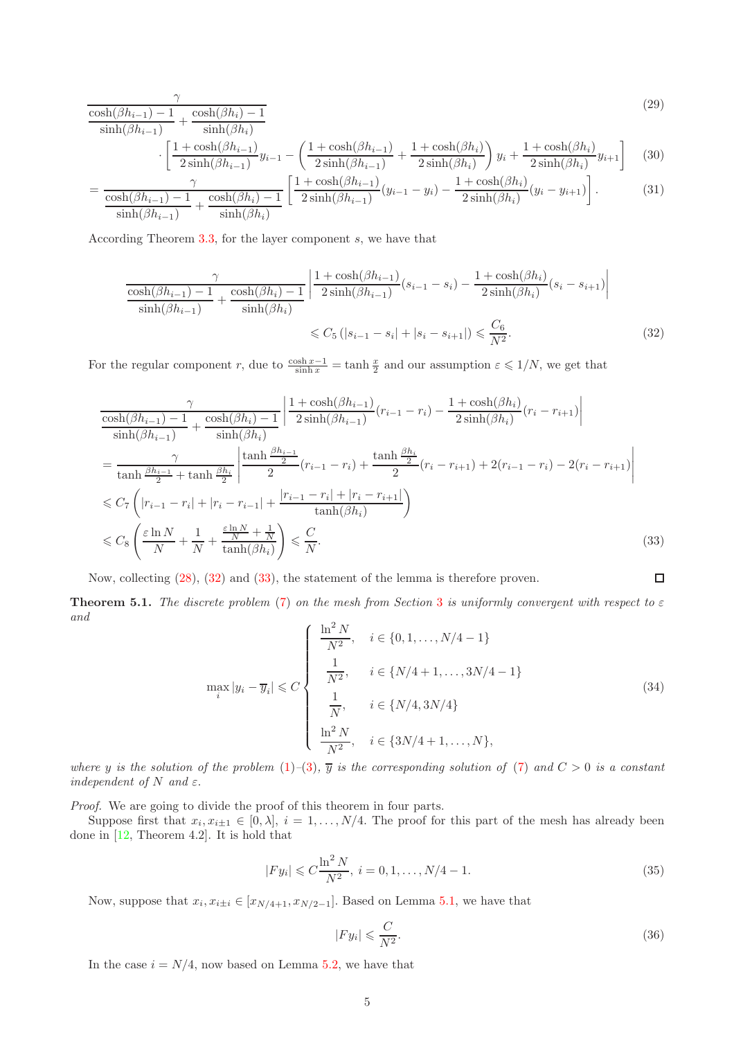$$
\frac{\cosh(\beta h_{i-1}) - 1}{\sinh(\beta h_{i-1})} + \frac{\cosh(\beta h_i) - 1}{\sinh(\beta h_i)}
$$
\n(29)

$$
\left[ \frac{1 + \cosh(\beta h_{i-1})}{2\sinh(\beta h_{i-1})} y_{i-1} - \left( \frac{1 + \cosh(\beta h_{i-1})}{2\sinh(\beta h_{i-1})} + \frac{1 + \cosh(\beta h_i)}{2\sinh(\beta h_i)} \right) y_i + \frac{1 + \cosh(\beta h_i)}{2\sinh(\beta h_i)} y_{i+1} \right] \tag{30}
$$

$$
= \frac{\gamma}{\frac{\cosh(\beta h_{i-1}) - 1}{\sinh(\beta h_{i-1})} + \frac{\cosh(\beta h_i) - 1}{\sinh(\beta h_i)}} \left[ \frac{1 + \cosh(\beta h_{i-1})}{2\sinh(\beta h_{i-1})} (y_{i-1} - y_i) - \frac{1 + \cosh(\beta h_i)}{2\sinh(\beta h_i)} (y_i - y_{i+1}) \right].
$$
 (31)

According Theorem [3.3,](#page-2-2) for the layer component s, we have that

$$
\frac{\gamma}{\frac{\cosh(\beta h_{i-1}) - 1}{\sinh(\beta h_{i-1})} + \frac{\cosh(\beta h_i) - 1}{\sinh(\beta h_i)}} \left| \frac{1 + \cosh(\beta h_{i-1})}{2\sinh(\beta h_{i-1})} (s_{i-1} - s_i) - \frac{1 + \cosh(\beta h_i)}{2\sinh(\beta h_i)} (s_i - s_{i+1}) \right|
$$
  

$$
\leq C_5 (|s_{i-1} - s_i| + |s_i - s_{i+1}|) \leq \frac{C_6}{N^2}.
$$
 (32)

For the regular component r, due to  $\frac{\cosh x - 1}{\sinh x} = \tanh \frac{x}{2}$  and our assumption  $\varepsilon \leq 1/N$ , we get that

$$
\frac{\gamma}{\cosh(\beta h_{i-1}) - 1} + \frac{\cosh(\beta h_i) - 1}{\sinh(\beta h_i)} \left| \frac{1 + \cosh(\beta h_{i-1})}{2\sinh(\beta h_{i-1})} (r_{i-1} - r_i) - \frac{1 + \cosh(\beta h_i)}{2\sinh(\beta h_i)} (r_i - r_{i+1}) \right|
$$
\n
$$
= \frac{\gamma}{\tanh\frac{\beta h_{i-1}}{2} + \tanh\frac{\beta h_i}{2}} \left| \frac{\tanh\frac{\beta h_{i-1}}{2}}{2} (r_{i-1} - r_i) + \frac{\tanh\frac{\beta h_i}{2}}{2} (r_i - r_{i+1}) + 2(r_{i-1} - r_i) - 2(r_i - r_{i+1}) \right|
$$
\n
$$
\leq C_7 \left( |r_{i-1} - r_i| + |r_i - r_{i-1}| + \frac{|r_{i-1} - r_i| + |r_i - r_{i+1}|}{\tanh(\beta h_i)} \right)
$$
\n
$$
\leq C_8 \left( \frac{\varepsilon \ln N}{N} + \frac{1}{N} + \frac{\varepsilon \ln N}{\tanh(\beta h_i)} \right) \leq \frac{C}{N}.
$$
\n(33)

Now, collecting [\(28\)](#page-3-1), [\(32\)](#page-4-0) and [\(33\)](#page-4-1), the statement of the lemma is therefore proven.

**Theorem 5.1.** The discrete problem [\(7\)](#page-1-1) on the mesh from Section [3](#page-2-2) is uniformly convergent with respect to  $\varepsilon$ and

$$
\max_{i} |y_{i} - \overline{y}_{i}| \leq C \begin{cases} \frac{\ln^{2} N}{N^{2}}, & i \in \{0, 1, ..., N/4 - 1\} \\ \frac{1}{N^{2}}, & i \in \{N/4 + 1, ..., 3N/4 - 1\} \\ \frac{1}{N}, & i \in \{N/4, 3N/4\} \\ \frac{\ln^{2} N}{N^{2}}, & i \in \{3N/4 + 1, ..., N\}, \end{cases}
$$
(34)

where y is the solution of the problem [\(1\)](#page-0-1)–[\(3\)](#page-0-3),  $\overline{y}$  is the corresponding solution of [\(7\)](#page-1-1) and  $C > 0$  is a constant independent of N and  $\varepsilon$ .

Proof. We are going to divide the proof of this theorem in four parts.

Suppose first that  $x_i, x_{i\pm 1} \in [0, \lambda], i = 1, \ldots, N/4$ . The proof for this part of the mesh has already been done in [\[12,](#page-12-4) Theorem 4.2]. It is hold that

<span id="page-4-2"></span>
$$
|Fy_i| \leq C \frac{\ln^2 N}{N^2}, \ i = 0, 1, \dots, N/4 - 1. \tag{35}
$$

Now, suppose that  $x_i, x_{i\pm i} \in [x_{N/4+1}, x_{N/2-1}]$ . Based on Lemma [5.1,](#page-3-2) we have that

<span id="page-4-3"></span>
$$
|Fy_i| \leqslant \frac{C}{N^2}.\tag{36}
$$

<span id="page-4-1"></span><span id="page-4-0"></span> $\Box$ 

In the case  $i = N/4$ , now based on Lemma [5.2,](#page-3-3) we have that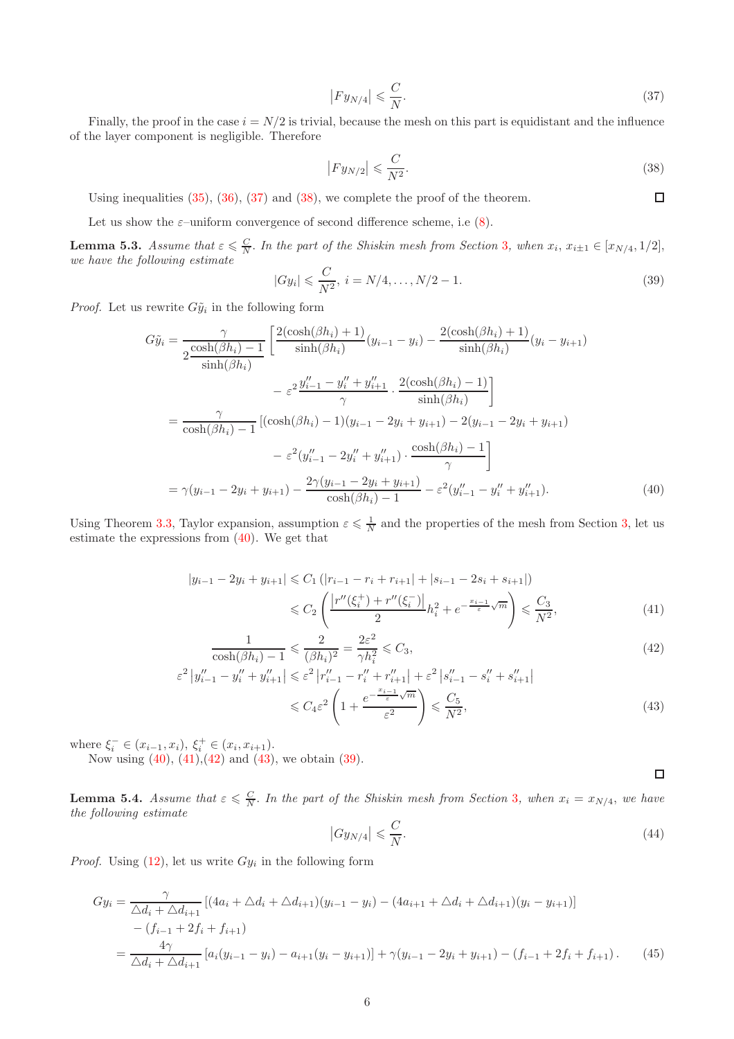<span id="page-5-0"></span>
$$
|Fy_{N/4}| \leqslant \frac{C}{N}.\tag{37}
$$

Finally, the proof in the case  $i = N/2$  is trivial, because the mesh on this part is equidistant and the influence of the layer component is negligible. Therefore

<span id="page-5-1"></span>
$$
\left| F y_{N/2} \right| \leqslant \frac{C}{N^2}.\tag{38}
$$

<span id="page-5-2"></span> $\Box$ 

<span id="page-5-7"></span><span id="page-5-5"></span><span id="page-5-4"></span><span id="page-5-3"></span> $\Box$ 

Using inequalities [\(35\)](#page-4-2), [\(36\)](#page-4-3), [\(37\)](#page-5-0) and [\(38\)](#page-5-1), we complete the proof of the theorem.

Let us show the  $\varepsilon$ -uniform convergence of second difference scheme, i.e [\(8\)](#page-1-0).

<span id="page-5-9"></span>**Lemma 5.[3](#page-2-2).** Assume that  $\varepsilon \leq \frac{C}{N}$ . In the part of the Shiskin mesh from Section 3, when  $x_i$ ,  $x_{i\pm 1} \in [x_{N/4}, 1/2]$ , we have the following estimate

<span id="page-5-6"></span>
$$
|Gy_i| \leqslant \frac{C}{N^2}, \ i = N/4, \dots, N/2 - 1. \tag{39}
$$

*Proof.* Let us rewrite  $G\tilde{y}_i$  in the following form

$$
G\tilde{y}_{i} = \frac{\gamma}{2\frac{\cosh(\beta h_{i}) - 1}{\sinh(\beta h_{i})}} \left[ \frac{2(\cosh(\beta h_{i}) + 1)}{\sinh(\beta h_{i})} (y_{i-1} - y_{i}) - \frac{2(\cosh(\beta h_{i}) + 1)}{\sinh(\beta h_{i})} (y_{i} - y_{i+1}) \right]
$$

$$
- \varepsilon^{2} \frac{y_{i-1}'' - y_{i}'' + y_{i+1}''}{\gamma} \cdot \frac{2(\cosh(\beta h_{i}) - 1)}{\sinh(\beta h_{i})} \right]
$$

$$
= \frac{\gamma}{\cosh(\beta h_{i}) - 1} [(\cosh(\beta h_{i}) - 1)(y_{i-1} - 2y_{i} + y_{i+1}) - 2(y_{i-1} - 2y_{i} + y_{i+1}) - \varepsilon^{2} (y_{i-1}'' - 2y_{i}'' + y_{i+1}'') \cdot \frac{\cosh(\beta h_{i}) - 1}{\gamma}]
$$

$$
= \gamma(y_{i-1} - 2y_{i} + y_{i+1}) - \frac{2\gamma(y_{i-1} - 2y_{i} + y_{i+1})}{\cosh(\beta h_{i}) - 1} - \varepsilon^{2} (y_{i-1}'' - y_{i}'' + y_{i+1}''). \tag{40}
$$

Using Theorem [3.3,](#page-2-2) Taylor expansion, assumption  $\varepsilon \leq \frac{1}{N}$  and the properties of the mesh from Section [3,](#page-2-2) let us estimate the expressions from [\(40\)](#page-5-2). We get that

$$
|y_{i-1} - 2y_i + y_{i+1}| \le C_1 (|r_{i-1} - r_i + r_{i+1}| + |s_{i-1} - 2s_i + s_{i+1}|)
$$
  

$$
\le C_2 \left( \frac{|r''(\xi_i^+) + r''(\xi_i^-)|}{2} h_i^2 + e^{-\frac{x_{i-1}}{\varepsilon}} \sqrt{m} \right) \le \frac{C_3}{N^2},
$$
(41)

$$
\frac{1}{\cosh(\beta h_i) - 1} \leqslant \frac{2}{(\beta h_i)^2} = \frac{2\varepsilon^2}{\gamma h_i^2} \leqslant C_3,\tag{42}
$$

$$
\varepsilon^{2} |y''_{i-1} - y''_{i} + y''_{i+1}| \leqslant \varepsilon^{2} |r''_{i-1} - r''_{i} + r''_{i+1}| + \varepsilon^{2} |s''_{i-1} - s''_{i} + s''_{i+1}|
$$
  

$$
\leq C_{4} \varepsilon^{2} \left( 1 + \frac{e^{-\frac{x_{i-1}}{\varepsilon} \sqrt{m}}}{\varepsilon^{2}} \right) \leq \frac{C_{5}}{N^{2}},
$$
(43)

where  $\xi_i^- \in (x_{i-1}, x_i), \xi_i^+ \in (x_i, x_{i+1}).$ 

Now using  $(40)$ ,  $(41)$ ,  $(42)$  and  $(43)$ , we obtain  $(39)$ .

<span id="page-5-10"></span>**Lemma 5.4.** Assume that  $\varepsilon \leq \frac{C}{N}$ . In the part of the Shiskin mesh from Section [3](#page-2-2), when  $x_i = x_{N/4}$ , we have the following estimate

<span id="page-5-8"></span>
$$
\left|Gy_{N/4}\right| \leqslant \frac{C}{N}.\tag{44}
$$

*Proof.* Using  $(12)$ , let us write  $Gy_i$  in the following form

$$
Gy_i = \frac{\gamma}{\Delta d_i + \Delta d_{i+1}} [(4a_i + \Delta d_i + \Delta d_{i+1})(y_{i-1} - y_i) - (4a_{i+1} + \Delta d_i + \Delta d_{i+1})(y_i - y_{i+1})]
$$
  
 
$$
- (f_{i-1} + 2f_i + f_{i+1})
$$
  
 
$$
= \frac{4\gamma}{\Delta d_i + \Delta d_{i+1}} [a_i(y_{i-1} - y_i) - a_{i+1}(y_i - y_{i+1})] + \gamma(y_{i-1} - 2y_i + y_{i+1}) - (f_{i-1} + 2f_i + f_{i+1}).
$$
 (45)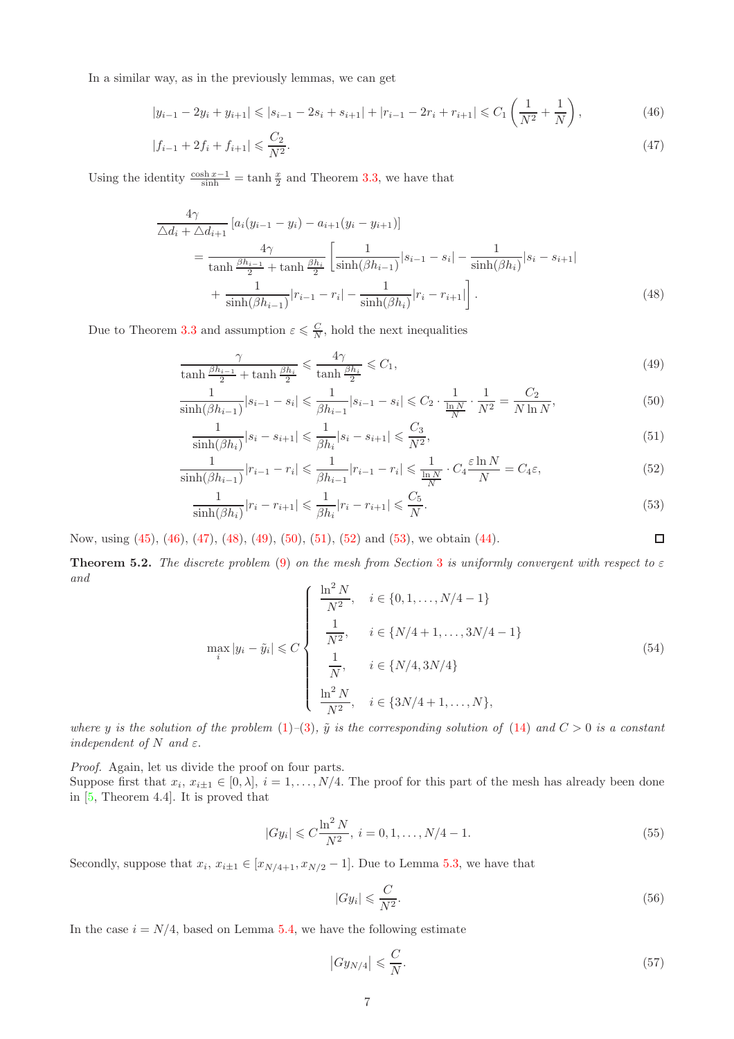In a similar way, as in the previously lemmas, we can get

$$
|y_{i-1} - 2y_i + y_{i+1}| \le |s_{i-1} - 2s_i + s_{i+1}| + |r_{i-1} - 2r_i + r_{i+1}| \le C_1 \left(\frac{1}{N^2} + \frac{1}{N}\right),\tag{46}
$$

$$
|f_{i-1} + 2f_i + f_{i+1}| \leqslant \frac{C_2}{N^2}.\tag{47}
$$

Using the identity  $\frac{\cosh x - 1}{\sinh} = \tanh \frac{x}{2}$  and Theorem [3.3,](#page-2-2) we have that

$$
\frac{4\gamma}{\Delta d_i + \Delta d_{i+1}} \left[ a_i (y_{i-1} - y_i) - a_{i+1} (y_i - y_{i+1}) \right]
$$
\n
$$
= \frac{4\gamma}{\tanh \frac{\beta h_{i-1}}{2} + \tanh \frac{\beta h_i}{2}} \left[ \frac{1}{\sinh(\beta h_{i-1})} |s_{i-1} - s_i| - \frac{1}{\sinh(\beta h_i)} |s_i - s_{i+1}| \right]
$$
\n
$$
+ \frac{1}{\sinh(\beta h_{i-1})} |r_{i-1} - r_i| - \frac{1}{\sinh(\beta h_i)} |r_i - r_{i+1}| \right].
$$
\n(48)

Due to Theorem [3.3](#page-2-2) and assumption  $\varepsilon \leqslant \frac{C}{N}$ , hold the next inequalities

$$
\frac{\gamma}{\tanh\frac{\beta h_{i-1}}{2} + \tanh\frac{\beta h_i}{2}} \leqslant \frac{4\gamma}{\tanh\frac{\beta h_i}{2}} \leqslant C_1,\tag{49}
$$

$$
\frac{1}{\sinh(\beta h_{i-1})}|s_{i-1} - s_i| \leq \frac{1}{\beta h_{i-1}}|s_{i-1} - s_i| \leq C_2 \cdot \frac{1}{\frac{\ln N}{N}} \cdot \frac{1}{N^2} = \frac{C_2}{N \ln N},\tag{50}
$$

$$
\frac{1}{\sinh(\beta h_i)} |s_i - s_{i+1}| \leq \frac{1}{\beta h_i} |s_i - s_{i+1}| \leq \frac{C_3}{N^2},\tag{51}
$$

$$
\frac{1}{\sinh(\beta h_{i-1})}|r_{i-1}-r_i| \leqslant \frac{1}{\beta h_{i-1}}|r_{i-1}-r_i| \leqslant \frac{1}{\frac{\ln N}{N}} \cdot C_4 \frac{\varepsilon \ln N}{N} = C_4 \varepsilon,\tag{52}
$$

$$
\frac{1}{\sinh(\beta h_i)} |r_i - r_{i+1}| \leq \frac{1}{\beta h_i} |r_i - r_{i+1}| \leq \frac{C_5}{N}.
$$
\n(53)

Now, using [\(45\)](#page-5-7), [\(46\)](#page-6-0), [\(47\)](#page-6-1), [\(48\)](#page-6-2), [\(49\)](#page-6-3), [\(50\)](#page-6-4), [\(51\)](#page-6-5), [\(52\)](#page-6-6) and [\(53\)](#page-6-7), we obtain [\(44\)](#page-5-8).

**Theorem 5.2.** The discrete problem [\(9\)](#page-1-4) on the mesh from Section [3](#page-2-2) is uniformly convergent with respect to  $\varepsilon$ and

$$
\max_{i} |y_{i} - \tilde{y}_{i}| \leq C \begin{cases} \frac{\ln^{2} N}{N^{2}}, & i \in \{0, 1, ..., N/4 - 1\} \\ \frac{1}{N^{2}}, & i \in \{N/4 + 1, ..., 3N/4 - 1\} \\ \frac{1}{N}, & i \in \{N/4, 3N/4\} \\ \frac{\ln^{2} N}{N^{2}}, & i \in \{3N/4 + 1, ..., N\}, \end{cases}
$$
(54)

where y is the solution of the problem [\(1\)](#page-0-1)–[\(3\)](#page-0-3),  $\tilde{y}$  is the corresponding solution of [\(14\)](#page-1-2) and  $C > 0$  is a constant independent of N and  $\varepsilon$ .

Proof. Again, let us divide the proof on four parts.

Suppose first that  $x_i$ ,  $x_{i\pm 1} \in [0, \lambda]$ ,  $i = 1, \ldots, N/4$ . The proof for this part of the mesh has already been done in [\[5,](#page-11-4) Theorem 4.4]. It is proved that

<span id="page-6-8"></span>
$$
|Gy_i| \leq C \frac{\ln^2 N}{N^2}, \ i = 0, 1, \dots, N/4 - 1. \tag{55}
$$

Secondly, suppose that  $x_i, x_{i\pm 1} \in [x_{N/4+1}, x_{N/2} - 1]$ . Due to Lemma [5.3,](#page-5-9) we have that

<span id="page-6-9"></span>
$$
|Gy_i| \leqslant \frac{C}{N^2}.\tag{56}
$$

<span id="page-6-7"></span><span id="page-6-6"></span><span id="page-6-5"></span><span id="page-6-4"></span><span id="page-6-3"></span><span id="page-6-2"></span><span id="page-6-1"></span><span id="page-6-0"></span> $\Box$ 

In the case  $i = N/4$ , based on Lemma [5.4,](#page-5-10) we have the following estimate

<span id="page-6-10"></span>
$$
\left|Gy_{N/4}\right| \leqslant \frac{C}{N}.\tag{57}
$$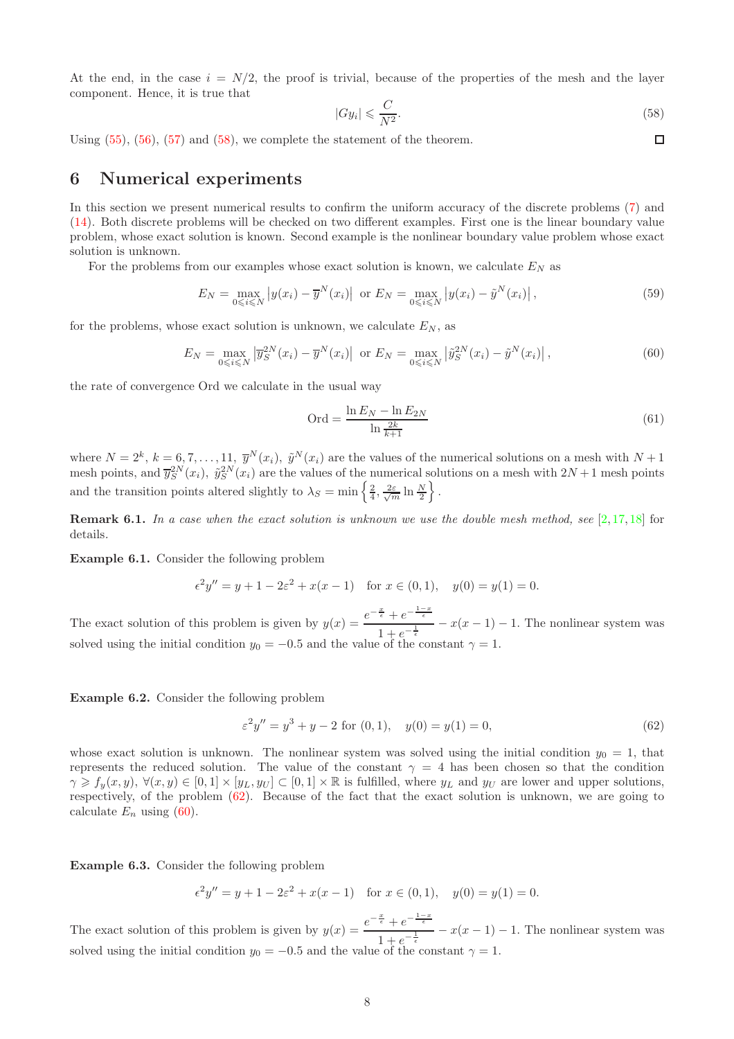At the end, in the case  $i = N/2$ , the proof is trivial, because of the properties of the mesh and the layer component. Hence, it is true that

<span id="page-7-0"></span>
$$
|Gy_i| \leqslant \frac{C}{N^2}.\tag{58}
$$

 $\Box$ 

Using [\(55\)](#page-6-8), [\(56\)](#page-6-9), [\(57\)](#page-6-10) and [\(58\)](#page-7-0), we complete the statement of the theorem.

#### 6 Numerical experiments

In this section we present numerical results to confirm the uniform accuracy of the discrete problems [\(7\)](#page-1-1) and [\(14\)](#page-1-2). Both discrete problems will be checked on two different examples. First one is the linear boundary value problem, whose exact solution is known. Second example is the nonlinear boundary value problem whose exact solution is unknown.

For the problems from our examples whose exact solution is known, we calculate  $E<sub>N</sub>$  as

$$
E_N = \max_{0 \le i \le N} |y(x_i) - \overline{y}^N(x_i)| \text{ or } E_N = \max_{0 \le i \le N} |y(x_i) - \tilde{y}^N(x_i)|,
$$
 (59)

for the problems, whose exact solution is unknown, we calculate  $E_N$ , as

<span id="page-7-2"></span>
$$
E_N = \max_{0 \leqslant i \leqslant N} \left| \overline{y}_S^{2N}(x_i) - \overline{y}^N(x_i) \right| \text{ or } E_N = \max_{0 \leqslant i \leqslant N} \left| \widetilde{y}_S^{2N}(x_i) - \widetilde{y}^N(x_i) \right|, \tag{60}
$$

the rate of convergence Ord we calculate in the usual way

$$
Ord = \frac{\ln E_N - \ln E_{2N}}{\ln \frac{2k}{k+1}}
$$
\n(61)

where  $N = 2^k$ ,  $k = 6, 7, \ldots, 11, \ \overline{y}^N(x_i)$ ,  $\tilde{y}^N(x_i)$  are the values of the numerical solutions on a mesh with  $N + 1$ mesh points, and  $\bar{y}_{S}^{2N}(x_i)$ ,  $\tilde{y}_{S}^{2N}(x_i)$  are the values of the numerical solutions on a mesh with  $2N+1$  mesh points and the transition points altered slightly to  $\lambda_S = \min\left\{\frac{2}{4}, \frac{2\varepsilon}{\sqrt{m}}\ln\frac{N}{2}\right\}.$ 

**Remark 6.1.** In a case when the exact solution is unknown we use the double mesh method, see  $[2,17,18]$  $[2,17,18]$  $[2,17,18]$  for details.

<span id="page-7-3"></span>Example 6.1. Consider the following problem

$$
\epsilon^2 y'' = y + 1 - 2\epsilon^2 + x(x - 1)
$$
 for  $x \in (0, 1)$ ,  $y(0) = y(1) = 0$ .

The exact solution of this problem is given by  $y(x) = \frac{e^{-\frac{x}{\epsilon}} + e^{-\frac{1-x}{\epsilon}}}{1}$  $\frac{1}{1+e^{-\frac{1}{\epsilon}}} - x(x-1) - 1$ . The nonlinear system was solved using the initial condition  $y_0 = -0.5$  and the value of the constant  $\gamma = 1$ .

Example 6.2. Consider the following problem

<span id="page-7-1"></span>
$$
\varepsilon^2 y'' = y^3 + y - 2 \text{ for } (0, 1), \quad y(0) = y(1) = 0,
$$
\n(62)

whose exact solution is unknown. The nonlinear system was solved using the initial condition  $y_0 = 1$ , that represents the reduced solution. The value of the constant  $\gamma = 4$  has been chosen so that the condition  $\gamma \geq f_y(x, y), \forall (x, y) \in [0, 1] \times [y_L, y_U] \subset [0, 1] \times \mathbb{R}$  is fulfilled, where  $y_L$  and  $y_U$  are lower and upper solutions, respectively, of the problem [\(62\)](#page-7-1). Because of the fact that the exact solution is unknown, we are going to calculate  $E_n$  using [\(60\)](#page-7-2).

<span id="page-7-4"></span>Example 6.3. Consider the following problem

$$
\epsilon^2 y'' = y + 1 - 2\varepsilon^2 + x(x - 1) \quad \text{for } x \in (0, 1), \quad y(0) = y(1) = 0.
$$

The exact solution of this problem is given by  $y(x) = \frac{e^{-\frac{x}{\epsilon}} + e^{-\frac{1-x}{\epsilon}}}{1}$  $\frac{1}{1+e^{-\frac{1}{\epsilon}}} - x(x-1) - 1$ . The nonlinear system was solved using the initial condition  $y_0 = -0.5$  and the value of the constant  $\gamma = 1$ .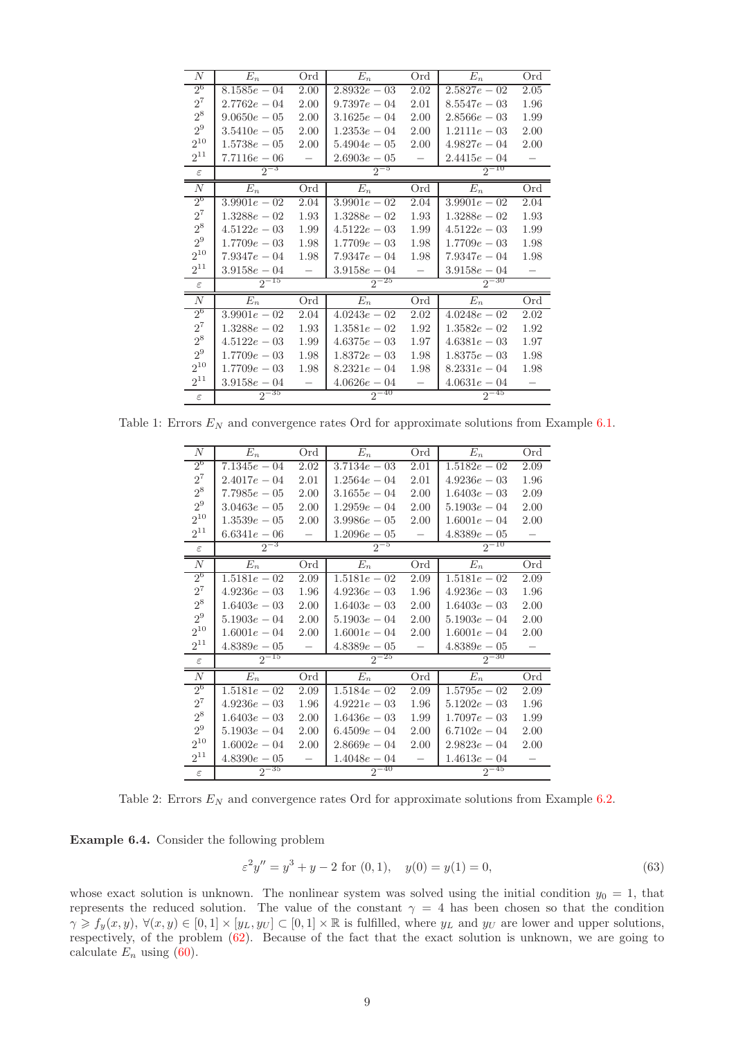| $\boldsymbol{N}$ | $E_n$          | Ord  | $E_n$          | Ord  | $E_n$          | Ord  |
|------------------|----------------|------|----------------|------|----------------|------|
| $2^6$            | $8.1585e - 04$ | 2.00 | $2.8932e - 03$ | 2.02 | $2.5827e - 02$ | 2.05 |
| $2^7\,$          | $2.7762e - 04$ | 2.00 | $9.7397e - 04$ | 2.01 | $8.5547e - 03$ | 1.96 |
| $2^8\,$          | $9.0650e - 05$ | 2.00 | $3.1625e - 04$ | 2.00 | $2.8566e - 03$ | 1.99 |
| 2 <sup>9</sup>   | $3.5410e - 05$ | 2.00 | $1.2353e - 04$ | 2.00 | $1.2111e - 03$ | 2.00 |
| $2^{10}$         | $1.5738e - 05$ | 2.00 | $5.4904e - 05$ | 2.00 | $4.9827e - 04$ | 2.00 |
| $2^{11}$         | $7.7116e - 06$ |      | $2.6903e - 05$ |      | $2.4415e - 04$ |      |
| $\varepsilon$    | $2^{-3}$       |      | $2^{-5}$       |      | $2^{-10}$      |      |
| N                | $E_n$          | Ord  | $E_n$          | Ord  | $E_n$          | Ord  |
| $2^6$            | $3.9901e - 02$ | 2.04 | $3.9901e - 02$ | 2.04 | $3.9901e - 02$ | 2.04 |
| $2^7$            | $1.3288e - 02$ | 1.93 | $1.3288e - 02$ | 1.93 | $1.3288e - 02$ | 1.93 |
| $2^8\,$          | $4.5122e - 03$ | 1.99 | $4.5122e - 03$ | 1.99 | $4.5122e - 03$ | 1.99 |
| 2 <sup>9</sup>   | $1.7709e - 03$ | 1.98 | $1.7709e - 03$ | 1.98 | $1.7709e - 03$ | 1.98 |
| $2^{10}$         | $7.9347e - 04$ | 1.98 | $7.9347e - 04$ | 1.98 | $7.9347e - 04$ | 1.98 |
| $2^{11}$         | $3.9158e - 04$ |      | $3.9158e - 04$ |      | $3.9158e - 04$ |      |
| $\varepsilon$    | $2^{-15}$      |      | $2^{-25}$      |      | $2^{-30}$      |      |
| N                | $E_n$          | Ord  | $E_n$          | Ord  | $E_n$          | Ord  |
| $2^{6}$          | $3.9901e - 02$ | 2.04 | $4.0243e - 02$ | 2.02 | $4.0248e - 02$ | 2.02 |
| $2^7$            | $1.3288e - 02$ | 1.93 | $1.3581e - 02$ | 1.92 | $1.3582e - 02$ | 1.92 |
| $2^8\,$          | $4.5122e - 03$ | 1.99 | $4.6375e - 03$ | 1.97 | $4.6381e - 03$ | 1.97 |
| 2 <sup>9</sup>   | $1.7709e - 03$ | 1.98 | $1.8372e - 03$ | 1.98 | $1.8375e - 03$ | 1.98 |
| $2^{10}$         | $1.7709e - 03$ | 1.98 | $8.2321e - 04$ | 1.98 | $8.2331e - 04$ | 1.98 |
| $2^{11}$         | $3.9158e - 04$ |      | $4.0626e - 04$ |      | $4.0631e - 04$ |      |
| $\varepsilon$    | $2^{-35}$      |      | $2^{-40}$      |      | $2^{-45}$      |      |

Table 1: Errors  $E_N$  and convergence rates Ord for approximate solutions from Example 6.1.

| $\boldsymbol{N}$ | $E_n$          | Ord  | $E_n$          | Ord  | $E_n$          | Ord  |
|------------------|----------------|------|----------------|------|----------------|------|
| $2^6$            | $7.1345e - 04$ | 2.02 | $3.7134e - 03$ | 2.01 | $1.5182e - 02$ | 2.09 |
| $2^7$            | $2.4017e - 04$ | 2.01 | $1.2564e - 04$ | 2.01 | $4.9236e - 03$ | 1.96 |
| $2^8$            | $7.7985e - 05$ | 2.00 | $3.1655e - 04$ | 2.00 | $1.6403e - 03$ | 2.09 |
| 2 <sup>9</sup>   | $3.0463e - 05$ | 2.00 | $1.2959e - 04$ | 2.00 | $5.1903e - 04$ | 2.00 |
| $2^{10}$         | $1.3539e - 05$ | 2.00 | $3.9986e - 05$ | 2.00 | $1.6001e - 04$ | 2.00 |
| $2^{11}$         | $6.6341e - 06$ |      | $1.2096e - 05$ |      | $4.8389e - 05$ |      |
| $\varepsilon$    | $2^{-3}$       |      | $2^{-5}$       |      | $2^{-10}$      |      |
| N                | $E_n$          | Ord  | $E_n$          | Ord  | $E_n$          | Ord  |
| 2 <sup>6</sup>   | $1.5181e - 02$ | 2.09 | $1.5181e - 02$ | 2.09 | $1.5181e - 02$ | 2.09 |
| $2^7\,$          | $4.9236e - 03$ | 1.96 | $4.9236e - 03$ | 1.96 | $4.9236e - 03$ | 1.96 |
| $2^8\,$          | $1.6403e - 03$ | 2.00 | $1.6403e - 03$ | 2.00 | $1.6403e - 03$ | 2.00 |
| $2^9$            | $5.1903e - 04$ | 2.00 | $5.1903e - 04$ | 2.00 | $5.1903e - 04$ | 2.00 |
| $2^{10}$         | $1.6001e - 04$ | 2.00 | $1.6001e - 04$ | 2.00 | $1.6001e - 04$ | 2.00 |
| $2^{11}$         | $4.8389e - 05$ |      | $4.8389e - 05$ |      | $4.8389e - 05$ |      |
| $\varepsilon$    | $2^{-15}$      |      | $25 - 25$      |      | $2^{-30}$      |      |
| $\boldsymbol{N}$ | $E_n$          | Ord  | $E_n$          | Ord  | $E_n$          | Ord  |
| 2 <sup>6</sup>   | $1.5181e - 02$ | 2.09 | $1.5184e - 02$ | 2.09 | $1.5795e - 02$ | 2.09 |
| $2^7\,$          | $4.9236e - 03$ | 1.96 | $4.9221e - 03$ | 1.96 | $5.1202e - 03$ | 1.96 |
| $2^8\,$          | $1.6403e - 03$ | 2.00 | $1.6436e - 03$ | 1.99 | $1.7097e - 03$ | 1.99 |
| $2^9$            | $5.1903e - 04$ | 2.00 | $6.4509e - 04$ | 2.00 | $6.7102e - 04$ | 2.00 |
| $2^{10}$         | $1.6002e - 04$ | 2.00 | $2.8669e - 04$ | 2.00 | $2.9823e - 04$ | 2.00 |
| $2^{11}$         | $4.8390e - 05$ |      | $1.4048e - 04$ |      | $1.4613e - 04$ |      |
| $\varepsilon$    | $2^{-35}$      |      | $2^{-40}$      |      | $2^{-45}$      |      |

Table 2: Errors  $E_N$  and convergence rates Ord for approximate solutions from Example 6.2.

**Example 6.4.** Consider the following problem

<span id="page-8-0"></span>
$$
\varepsilon^2 y'' = y^3 + y - 2 \text{ for } (0,1), \quad y(0) = y(1) = 0,\tag{63}
$$

whose exact solution is unknown. The nonlinear system was solved using the initial condition  $y_0 = 1$ , that represents the reduced solution. The value of the constant  $\gamma = 4$  has been chosen so that the condition  $\gamma \geq f_y(x, y), \forall (x, y) \in [0, 1] \times [y_L, y_U] \subset [0, 1] \times \mathbb{R}$  is fulfilled, where  $y_L$  and  $y_U$  are lower and upper solutions, respectively, of the problem  $(62)$ . Because of the fact that the exact solution is unknown, we are going to calculate  $E_n$  using (60).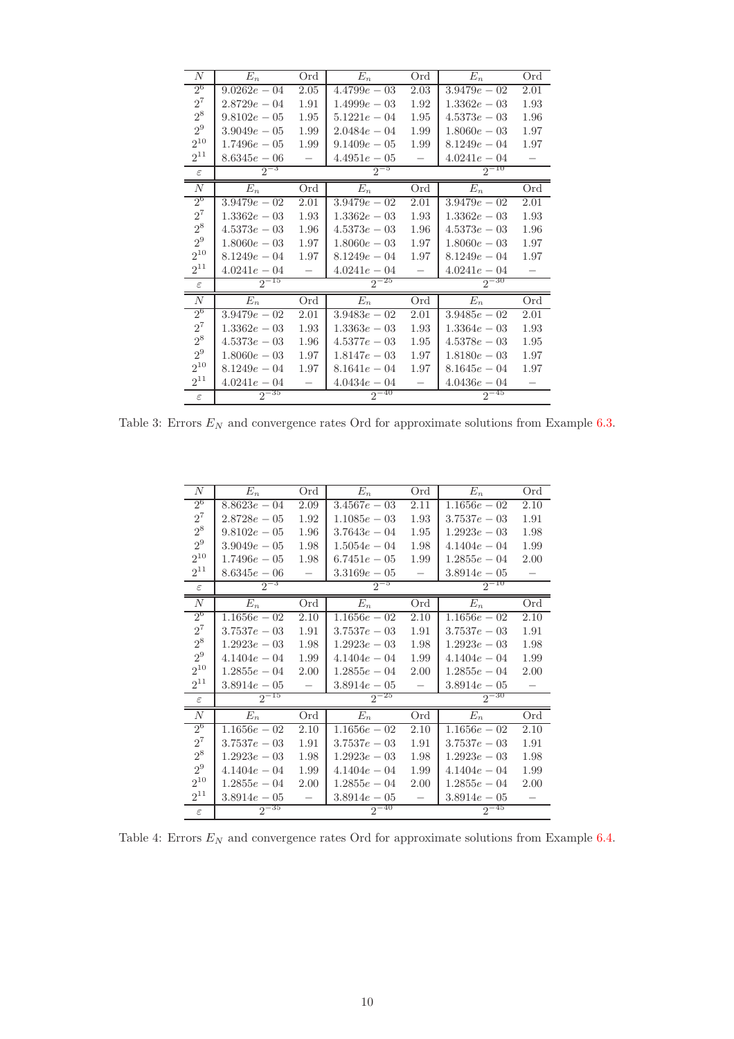| N              | $E_n$          | Ord                      | $E_n$          | Ord                      | $E_n$          | Ord  |
|----------------|----------------|--------------------------|----------------|--------------------------|----------------|------|
| $2^6$          | $9.0262e - 04$ | 2.05                     | $4.4799e - 03$ | 2.03                     | $3.9479e - 02$ | 2.01 |
| $2^7\,$        | $2.8729e - 04$ | 1.91                     | $1.4999e - 03$ | 1.92                     | $1.3362e - 03$ | 1.93 |
| $2^8$          | $9.8102e - 05$ | 1.95                     | $5.1221e - 04$ | 1.95                     | $4.5373e - 03$ | 1.96 |
| 2 <sup>9</sup> | $3.9049e - 05$ | 1.99                     | $2.0484e - 04$ | 1.99                     | $1.8060e - 03$ | 1.97 |
| $2^{10}$       | $1.7496e - 05$ | 1.99                     | $9.1409e - 05$ | 1.99                     | $8.1249e - 04$ | 1.97 |
| $2^{11}$       | $8.6345e - 06$ |                          | $4.4951e - 05$ |                          | $4.0241e - 04$ |      |
| $\varepsilon$  | $2^{-3}$       |                          | $2^{-5}$       |                          | $2^{-10}$      |      |
| $\overline{N}$ | $E_n$          | Ord                      | $E_n$          | Ord                      | $E_n$          | Ord  |
| $2^6$          | $3.9479e - 02$ | 2.01                     | $3.9479e - 02$ | 2.01                     | $3.9479e - 02$ | 2.01 |
| $2^7\,$        | $1.3362e - 03$ | 1.93                     | $1.3362e - 03$ | 1.93                     | $1.3362e - 03$ | 1.93 |
| $2^8\,$        | $4.5373e - 03$ | 1.96                     | $4.5373e - 03$ | 1.96                     | $4.5373e - 03$ | 1.96 |
| 2 <sup>9</sup> | $1.8060e - 03$ | 1.97                     | $1.8060e - 03$ | 1.97                     | $1.8060e - 03$ | 1.97 |
| $2^{10}$       | $8.1249e - 04$ | 1.97                     | $8.1249e - 04$ | 1.97                     | $8.1249e - 04$ | 1.97 |
| $2^{11}$       | $4.0241e - 04$ | $\overline{\phantom{0}}$ | $4.0241e - 04$ |                          | $4.0241e - 04$ |      |
| $\varepsilon$  | $2^{-15}$      |                          | $2^{-25}$      |                          | $2^{-30}$      |      |
| $\cal N$       | $E_n$          | Ord                      | $E_n$          | Ord                      | $E_n$          | Ord  |
| 2 <sup>6</sup> | $3.9479e - 02$ | 2.01                     | $3.9483e - 02$ | 2.01                     | $3.9485e - 02$ | 2.01 |
| $2^7\,$        | $1.3362e - 03$ | 1.93                     | $1.3363e - 03$ | 1.93                     | $1.3364e - 03$ | 1.93 |
| $2^8$          | $4.5373e - 03$ | 1.96                     | $4.5377e - 03$ | 1.95                     | $4.5378e - 03$ | 1.95 |
| 2 <sup>9</sup> | $1.8060e - 03$ | 1.97                     | $1.8147e - 03$ | 1.97                     | $1.8180e - 03$ | 1.97 |
| $2^{10}$       | $8.1249e - 04$ | 1.97                     | $8.1641e - 04$ | 1.97                     | $8.1645e - 04$ | 1.97 |
| $2^{11}$       | $4.0241e - 04$ | $\overline{\phantom{0}}$ | $4.0434e - 04$ | $\overline{\phantom{m}}$ | $4.0436e - 04$ | -    |
| $\varepsilon$  | $2^{-35}$      |                          | $2^{-40}$      |                          | $2^{-45}$      |      |

Table 3: Errors  $E_N$  and convergence rates Ord for approximate solutions from Example 6.3.

| N              | $E_n$          | Ord  | $E_n$          | Ord  | $E_n$          | Ord  |
|----------------|----------------|------|----------------|------|----------------|------|
| $2^6$          | $8.8623e - 04$ | 2.09 | $3.4567e - 03$ | 2.11 | $1.1656e - 02$ | 2.10 |
| $2^7\,$        | $2.8728e - 05$ | 1.92 | $1.1085e - 03$ | 1.93 | $3.7537e - 03$ | 1.91 |
| $2^8$          | $9.8102e - 05$ | 1.96 | $3.7643e - 04$ | 1.95 | $1.2923e - 03$ | 1.98 |
| $2^9$          | $3.9049e - 05$ | 1.98 | $1.5054e - 04$ | 1.98 | $4.1404e - 04$ | 1.99 |
| $2^{10}$       | $1.7496e - 05$ | 1.98 | $6.7451e - 05$ | 1.99 | $1.2855e - 04$ | 2.00 |
| $2^{11}$       | $8.6345e - 06$ |      | $3.3169e - 05$ |      | $3.8914e - 05$ |      |
| $\varepsilon$  | $2^{-3}$       |      | $2^{-5}$       |      | $2^{-10}$      |      |
| $\overline{N}$ | $E_n$          | Ord  | $E_n$          | Ord  | $E_n$          | Ord  |
| 2 <sup>6</sup> | $1.1656e - 02$ | 2.10 | $1.1656e - 02$ | 2.10 | $1.1656e - 02$ | 2.10 |
| $2^7$          | $3.7537e - 03$ | 1.91 | $3.7537e - 03$ | 1.91 | $3.7537e - 03$ | 1.91 |
| $2^8$          | $1.2923e - 03$ | 1.98 | $1.2923e - 03$ | 1.98 | $1.2923e - 03$ | 1.98 |
| 2 <sup>9</sup> | $4.1404e - 04$ | 1.99 | $4.1404e - 04$ | 1.99 | $4.1404e - 04$ | 1.99 |
| $2^{10}$       | $1.2855e - 04$ | 2.00 | $1.2855e - 04$ | 2.00 | $1.2855e - 04$ | 2.00 |
| $2^{11}$       | $3.8914e - 05$ |      | $3.8914e - 05$ |      | $3.8914e - 05$ |      |
| $\varepsilon$  | $2^{-15}$      |      | $2^{-25}$      |      | $2^{-30}$      |      |
| $\overline{N}$ | $E_n$          | Ord  | $E_n$          | Ord  | $E_n$          | Ord  |
| $2^6$          | $1.1656e - 02$ | 2.10 | $1.1656e - 02$ | 2.10 | $1.1656e - 02$ | 2.10 |
| $2^7$          | $3.7537e - 03$ | 1.91 | $3.7537e - 03$ | 1.91 | $3.7537e - 03$ | 1.91 |
| $2^8\,$        | $1.2923e - 03$ | 1.98 | $1.2923e - 03$ | 1.98 | $1.2923e - 03$ | 1.98 |
| 2 <sup>9</sup> | $4.1404e - 04$ | 1.99 | $4.1404e - 04$ | 1.99 | $4.1404e - 04$ | 1.99 |
| $2^{10}$       | $1.2855e - 04$ | 2.00 | $1.2855e - 04$ | 2.00 | $1.2855e - 04$ | 2.00 |
| $2^{11}$       | $3.8914e - 05$ |      | $3.8914e - 05$ |      | $3.8914e - 05$ |      |
|                | $2^{-35}$      |      | $2^{-40}$      |      | $2^{-45}$      |      |

Table 4: Errors  ${\cal E}_N$  and convergence rates Ord for approximate solutions from Example 6.4.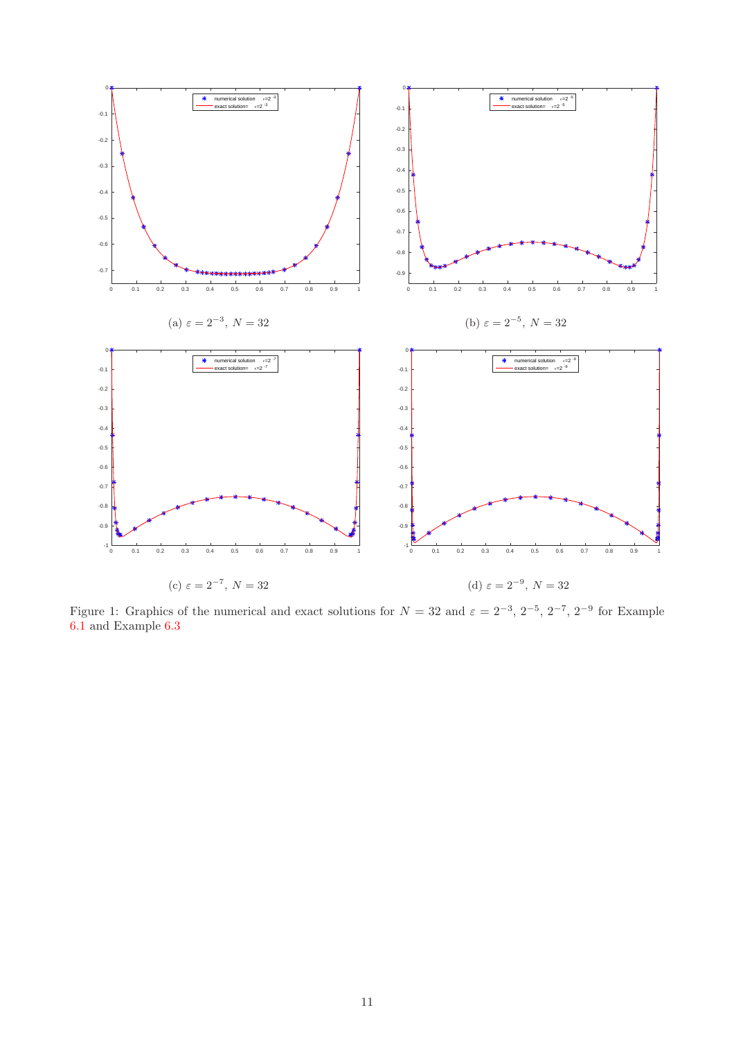

Figure 1: Graphics of the numerical and exact solutions for  $N = 32$  and  $\varepsilon = 2^{-3}$ ,  $2^{-5}$ ,  $2^{-7}$ ,  $2^{-9}$  for Example [6.1](#page-7-3) and Example [6.3](#page-7-4)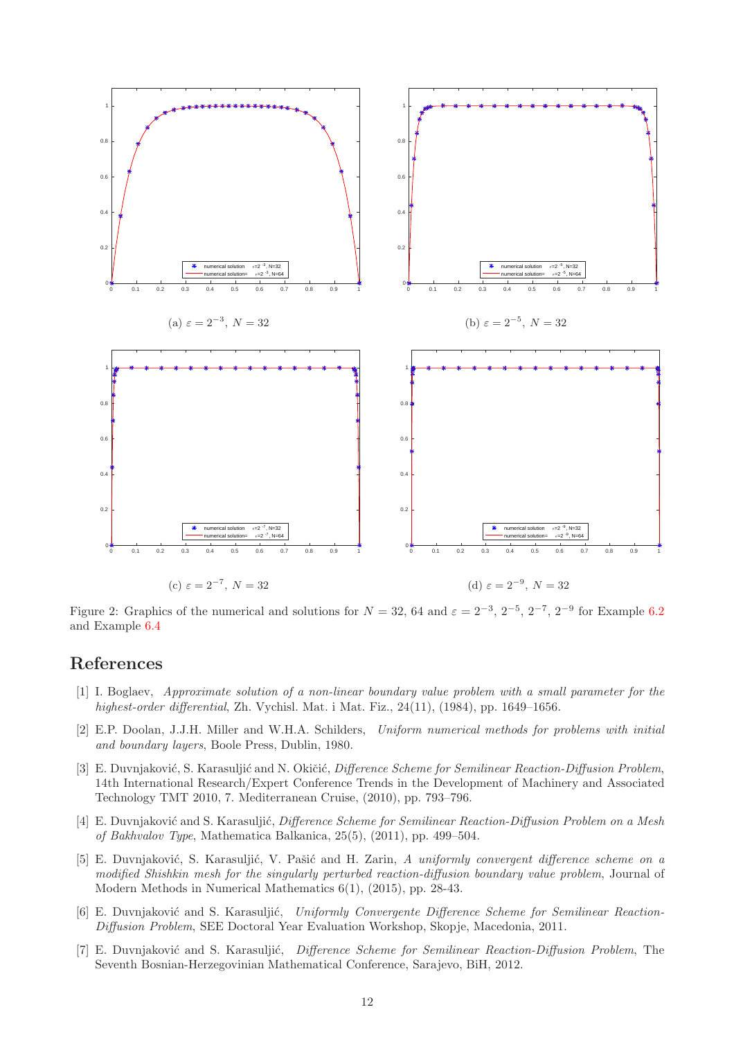

Figure 2: Graphics of the numerical and solutions for  $N = 32, 64$  and  $\varepsilon = 2^{-3}, 2^{-5}, 2^{-7}, 2^{-9}$  for Example [6.2](#page-7-1) and Example [6.4](#page-8-0)

### <span id="page-11-0"></span>References

- [1] I. Boglaev, Approximate solution of a non-linear boundary value problem with a small parameter for the highest-order differential, Zh. Vychisl. Mat. i Mat. Fiz., 24(11), (1984), pp. 1649–1656.
- <span id="page-11-5"></span>[2] E.P. Doolan, J.J.H. Miller and W.H.A. Schilders, Uniform numerical methods for problems with initial and boundary layers, Boole Press, Dublin, 1980.
- <span id="page-11-1"></span>[3] E. Duvnjaković, S. Karasuljić and N. Okičić, *Difference Scheme for Semilinear Reaction-Diffusion Problem*, 14th International Research/Expert Conference Trends in the Development of Machinery and Associated Technology TMT 2010, 7. Mediterranean Cruise, (2010), pp. 793–796.
- <span id="page-11-2"></span>[4] E. Duvnjaković and S. Karasuljić, *Difference Scheme for Semilinear Reaction-Diffusion Problem on a Mesh* of Bakhvalov Type, Mathematica Balkanica, 25(5), (2011), pp. 499–504.
- <span id="page-11-4"></span>[5] E. Duvnjaković, S. Karasuljić, V. Pašić and H. Zarin, A uniformly convergent difference scheme on a modified Shishkin mesh for the singularly perturbed reaction-diffusion boundary value problem, Journal of Modern Methods in Numerical Mathematics 6(1), (2015), pp. 28-43.
- <span id="page-11-3"></span>[6] E. Duvnjaković and S. Karasuljić, Uniformly Convergente Difference Scheme for Semilinear Reaction-Diffusion Problem, SEE Doctoral Year Evaluation Workshop, Skopje, Macedonia, 2011.
- [7] E. Duvnjaković and S. Karasuljić, Difference Scheme for Semilinear Reaction-Diffusion Problem, The Seventh Bosnian-Herzegovinian Mathematical Conference, Sarajevo, BiH, 2012.